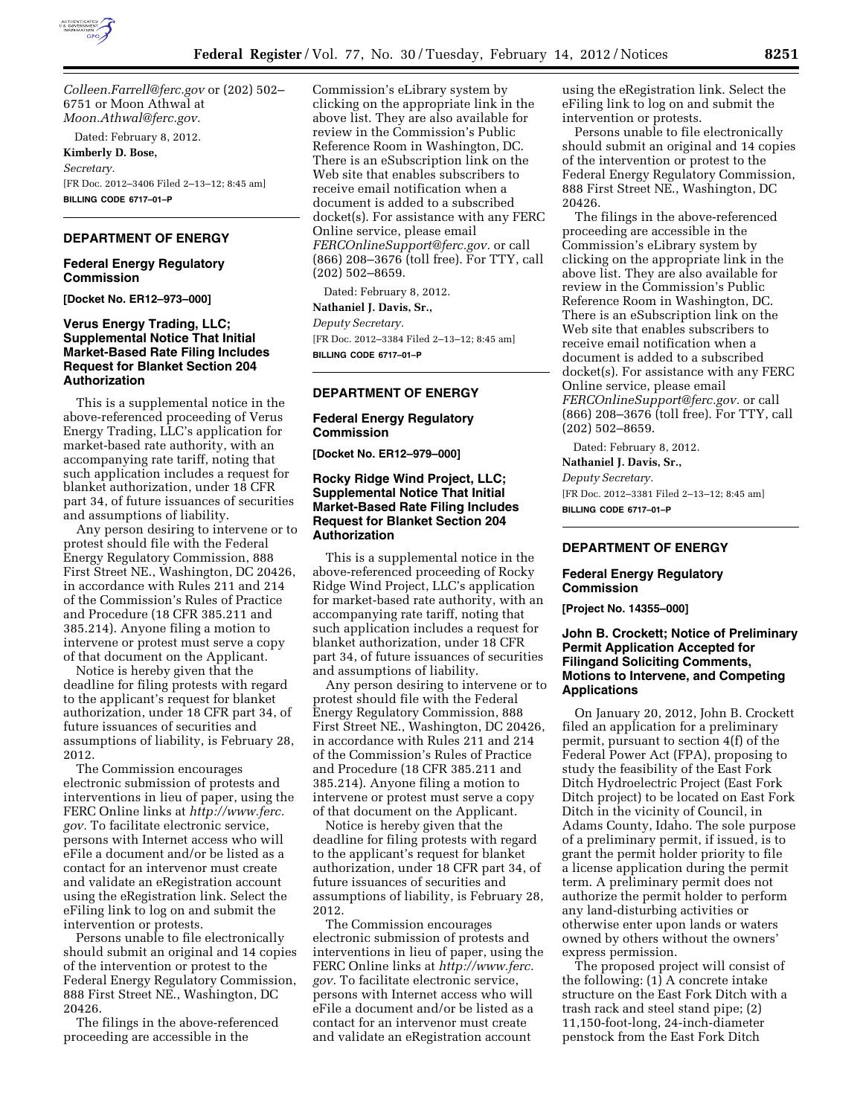

*[Colleen.Farrell@ferc.gov](mailto:Colleen.Farrell@ferc.gov)* or (202) 502– 6751 or Moon Athwal at *[Moon.Athwal@ferc.gov.](mailto:Moon.Athwal@ferc.gov)* 

Dated: February 8, 2012.

**Kimberly D. Bose,**  *Secretary.*  [FR Doc. 2012–3406 Filed 2–13–12; 8:45 am] **BILLING CODE 6717–01–P** 

# **DEPARTMENT OF ENERGY**

#### **Federal Energy Regulatory Commission**

**[Docket No. ER12–973–000]** 

## **Verus Energy Trading, LLC; Supplemental Notice That Initial Market-Based Rate Filing Includes Request for Blanket Section 204 Authorization**

This is a supplemental notice in the above-referenced proceeding of Verus Energy Trading, LLC's application for market-based rate authority, with an accompanying rate tariff, noting that such application includes a request for blanket authorization, under 18 CFR part 34, of future issuances of securities and assumptions of liability.

Any person desiring to intervene or to protest should file with the Federal Energy Regulatory Commission, 888 First Street NE., Washington, DC 20426, in accordance with Rules 211 and 214 of the Commission's Rules of Practice and Procedure (18 CFR 385.211 and 385.214). Anyone filing a motion to intervene or protest must serve a copy of that document on the Applicant.

Notice is hereby given that the deadline for filing protests with regard to the applicant's request for blanket authorization, under 18 CFR part 34, of future issuances of securities and assumptions of liability, is February 28, 2012.

The Commission encourages electronic submission of protests and interventions in lieu of paper, using the FERC Online links at *[http://www.ferc.](http://www.ferc.gov) [gov.](http://www.ferc.gov)* To facilitate electronic service, persons with Internet access who will eFile a document and/or be listed as a contact for an intervenor must create and validate an eRegistration account using the eRegistration link. Select the eFiling link to log on and submit the intervention or protests.

Persons unable to file electronically should submit an original and 14 copies of the intervention or protest to the Federal Energy Regulatory Commission, 888 First Street NE., Washington, DC 20426.

The filings in the above-referenced proceeding are accessible in the

Commission's eLibrary system by clicking on the appropriate link in the above list. They are also available for review in the Commission's Public Reference Room in Washington, DC. There is an eSubscription link on the Web site that enables subscribers to receive email notification when a document is added to a subscribed docket(s). For assistance with any FERC Online service, please email *[FERCOnlineSupport@ferc.gov.](mailto:FERCOnlineSupport@ferc.gov)* or call (866) 208–3676 (toll free). For TTY, call (202) 502–8659.

Dated: February 8, 2012.

# **Nathaniel J. Davis, Sr.,**

*Deputy Secretary.*  [FR Doc. 2012–3384 Filed 2–13–12; 8:45 am] **BILLING CODE 6717–01–P** 

## **DEPARTMENT OF ENERGY**

**Federal Energy Regulatory Commission** 

**[Docket No. ER12–979–000]** 

## **Rocky Ridge Wind Project, LLC; Supplemental Notice That Initial Market-Based Rate Filing Includes Request for Blanket Section 204 Authorization**

This is a supplemental notice in the above-referenced proceeding of Rocky Ridge Wind Project, LLC's application for market-based rate authority, with an accompanying rate tariff, noting that such application includes a request for blanket authorization, under 18 CFR part 34, of future issuances of securities and assumptions of liability.

Any person desiring to intervene or to protest should file with the Federal Energy Regulatory Commission, 888 First Street NE., Washington, DC 20426, in accordance with Rules 211 and 214 of the Commission's Rules of Practice and Procedure (18 CFR 385.211 and 385.214). Anyone filing a motion to intervene or protest must serve a copy of that document on the Applicant.

Notice is hereby given that the deadline for filing protests with regard to the applicant's request for blanket authorization, under 18 CFR part 34, of future issuances of securities and assumptions of liability, is February 28, 2012.

The Commission encourages electronic submission of protests and interventions in lieu of paper, using the FERC Online links at *[http://www.ferc.](http://www.ferc.gov) [gov.](http://www.ferc.gov)* To facilitate electronic service, persons with Internet access who will eFile a document and/or be listed as a contact for an intervenor must create and validate an eRegistration account

using the eRegistration link. Select the eFiling link to log on and submit the intervention or protests.

Persons unable to file electronically should submit an original and 14 copies of the intervention or protest to the Federal Energy Regulatory Commission, 888 First Street NE., Washington, DC 20426.

The filings in the above-referenced proceeding are accessible in the Commission's eLibrary system by clicking on the appropriate link in the above list. They are also available for review in the Commission's Public Reference Room in Washington, DC. There is an eSubscription link on the Web site that enables subscribers to receive email notification when a document is added to a subscribed docket(s). For assistance with any FERC Online service, please email *[FERCOnlineSupport@ferc.gov.](mailto:FERCOnlineSupport@ferc.gov)* or call (866) 208–3676 (toll free). For TTY, call (202) 502–8659.

Dated: February 8, 2012.

**Nathaniel J. Davis, Sr.,** 

*Deputy Secretary.*  [FR Doc. 2012–3381 Filed 2–13–12; 8:45 am] **BILLING CODE 6717–01–P** 

# **DEPARTMENT OF ENERGY**

#### **Federal Energy Regulatory Commission**

**[Project No. 14355–000]** 

### **John B. Crockett; Notice of Preliminary Permit Application Accepted for Filingand Soliciting Comments, Motions to Intervene, and Competing Applications**

On January 20, 2012, John B. Crockett filed an application for a preliminary permit, pursuant to section 4(f) of the Federal Power Act (FPA), proposing to study the feasibility of the East Fork Ditch Hydroelectric Project (East Fork Ditch project) to be located on East Fork Ditch in the vicinity of Council, in Adams County, Idaho. The sole purpose of a preliminary permit, if issued, is to grant the permit holder priority to file a license application during the permit term. A preliminary permit does not authorize the permit holder to perform any land-disturbing activities or otherwise enter upon lands or waters owned by others without the owners' express permission.

The proposed project will consist of the following: (1) A concrete intake structure on the East Fork Ditch with a trash rack and steel stand pipe; (2) 11,150-foot-long, 24-inch-diameter penstock from the East Fork Ditch